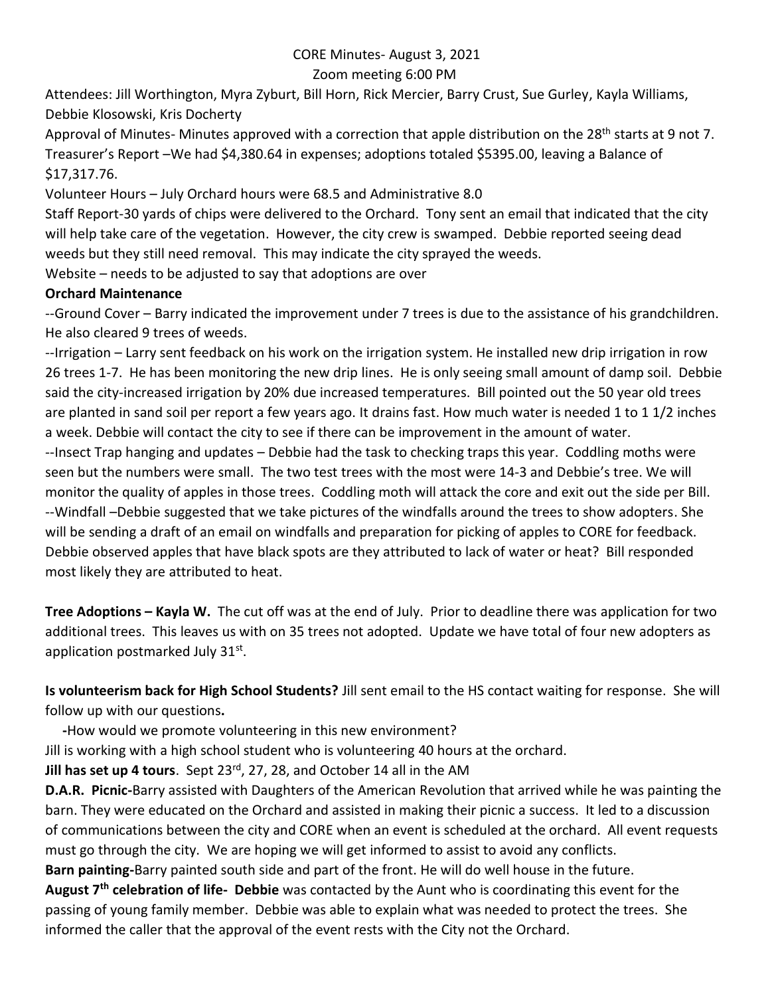## CORE Minutes- August 3, 2021

## Zoom meeting 6:00 PM

Attendees: Jill Worthington, Myra Zyburt, Bill Horn, Rick Mercier, Barry Crust, Sue Gurley, Kayla Williams, Debbie Klosowski, Kris Docherty

Approval of Minutes- Minutes approved with a correction that apple distribution on the 28<sup>th</sup> starts at 9 not 7. Treasurer's Report –We had \$4,380.64 in expenses; adoptions totaled \$5395.00, leaving a Balance of \$17,317.76.

Volunteer Hours – July Orchard hours were 68.5 and Administrative 8.0

Staff Report-30 yards of chips were delivered to the Orchard. Tony sent an email that indicated that the city will help take care of the vegetation. However, the city crew is swamped. Debbie reported seeing dead weeds but they still need removal. This may indicate the city sprayed the weeds.

Website – needs to be adjusted to say that adoptions are over

## **Orchard Maintenance**

--Ground Cover – Barry indicated the improvement under 7 trees is due to the assistance of his grandchildren. He also cleared 9 trees of weeds.

--Irrigation – Larry sent feedback on his work on the irrigation system. He installed new drip irrigation in row 26 trees 1-7. He has been monitoring the new drip lines. He is only seeing small amount of damp soil. Debbie said the city-increased irrigation by 20% due increased temperatures. Bill pointed out the 50 year old trees are planted in sand soil per report a few years ago. It drains fast. How much water is needed 1 to 1 1/2 inches a week. Debbie will contact the city to see if there can be improvement in the amount of water. --Insect Trap hanging and updates – Debbie had the task to checking traps this year. Coddling moths were seen but the numbers were small. The two test trees with the most were 14-3 and Debbie's tree. We will monitor the quality of apples in those trees. Coddling moth will attack the core and exit out the side per Bill. --Windfall –Debbie suggested that we take pictures of the windfalls around the trees to show adopters. She will be sending a draft of an email on windfalls and preparation for picking of apples to CORE for feedback. Debbie observed apples that have black spots are they attributed to lack of water or heat? Bill responded most likely they are attributed to heat.

**Tree Adoptions – Kayla W.** The cut off was at the end of July. Prior to deadline there was application for two additional trees. This leaves us with on 35 trees not adopted. Update we have total of four new adopters as application postmarked July 31st.

**Is volunteerism back for High School Students?** Jill sent email to the HS contact waiting for response. She will follow up with our questions**.** 

 **-**How would we promote volunteering in this new environment?

Jill is working with a high school student who is volunteering 40 hours at the orchard.

**Jill has set up 4 tours**. Sept 23rd, 27, 28, and October 14 all in the AM

**D.A.R. Picnic-**Barry assisted with Daughters of the American Revolution that arrived while he was painting the barn. They were educated on the Orchard and assisted in making their picnic a success. It led to a discussion of communications between the city and CORE when an event is scheduled at the orchard. All event requests must go through the city. We are hoping we will get informed to assist to avoid any conflicts.

**Barn painting-**Barry painted south side and part of the front. He will do well house in the future.

**August 7th celebration of life- Debbie** was contacted by the Aunt who is coordinating this event for the passing of young family member. Debbie was able to explain what was needed to protect the trees. She informed the caller that the approval of the event rests with the City not the Orchard.